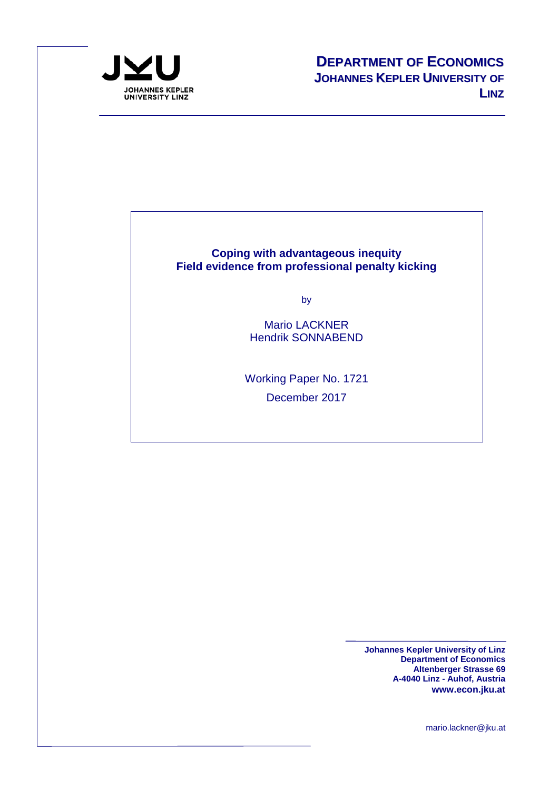

#### **Coping with advantageous inequity Field evidence from professional penalty kicking**

by

Mario LACKNER Hendrik SONNABEND

Working Paper No. 1721 December 2017

> **Johannes Kepler University of Linz Department of Economics Altenberger Strasse 69 A-4040 Linz - Auhof, Austria www.econ.jku.at**

> > mario.lackner@jku.at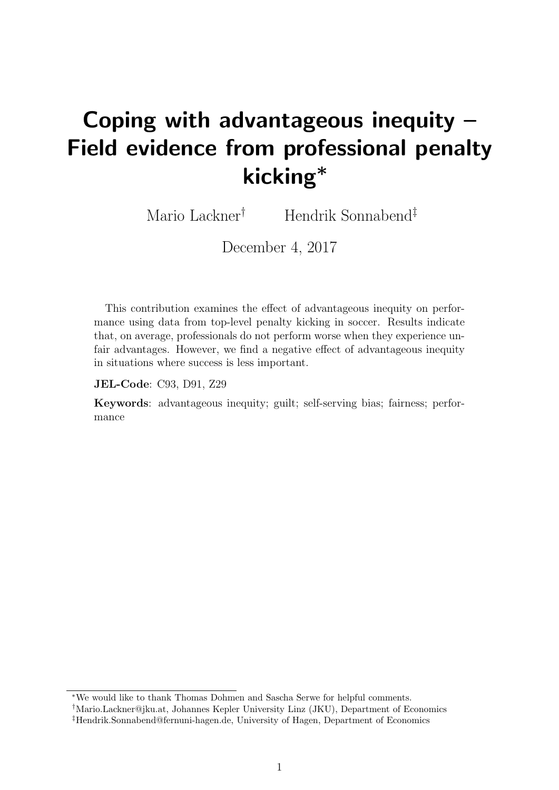# Coping with advantageous inequity – Field evidence from professional penalty kicking<sup>∗</sup>

Mario Lackner† Hendrik Sonnabend‡

December 4, 2017

This contribution examines the effect of advantageous inequity on performance using data from top-level penalty kicking in soccer. Results indicate that, on average, professionals do not perform worse when they experience unfair advantages. However, we find a negative effect of advantageous inequity in situations where success is less important.

JEL-Code: C93, D91, Z29

Keywords: advantageous inequity; guilt; self-serving bias; fairness; performance

<sup>∗</sup>We would like to thank Thomas Dohmen and Sascha Serwe for helpful comments.

<sup>†</sup>Mario.Lackner@jku.at, Johannes Kepler University Linz (JKU), Department of Economics ‡Hendrik.Sonnabend@fernuni-hagen.de, University of Hagen, Department of Economics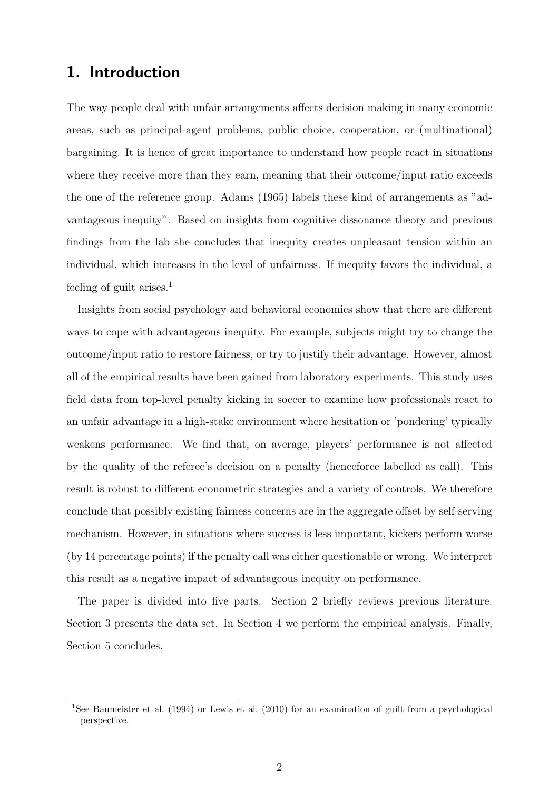## 1. Introduction

The way people deal with unfair arrangements affects decision making in many economic areas, such as principal-agent problems, public choice, cooperation, or (multinational) bargaining. It is hence of great importance to understand how people react in situations where they receive more than they earn, meaning that their outcome/input ratio exceeds the one of the reference group. Adams (1965) labels these kind of arrangements as "advantageous inequity". Based on insights from cognitive dissonance theory and previous findings from the lab she concludes that inequity creates unpleasant tension within an individual, which increases in the level of unfairness. If inequity favors the individual, a feeling of guilt arises.<sup>1</sup>

Insights from social psychology and behavioral economics show that there are different ways to cope with advantageous inequity. For example, subjects might try to change the outcome/input ratio to restore fairness, or try to justify their advantage. However, almost all of the empirical results have been gained from laboratory experiments. This study uses field data from top-level penalty kicking in soccer to examine how professionals react to an unfair advantage in a high-stake environment where hesitation or 'pondering' typically weakens performance. We find that, on average, players' performance is not affected by the quality of the referee's decision on a penalty (henceforce labelled as call). This result is robust to different econometric strategies and a variety of controls. We therefore conclude that possibly existing fairness concerns are in the aggregate offset by self-serving mechanism. However, in situations where success is less important, kickers perform worse (by 14 percentage points) if the penalty call was either questionable or wrong. We interpret this result as a negative impact of advantageous inequity on performance.

The paper is divided into five parts. Section 2 briefly reviews previous literature. Section 3 presents the data set. In Section 4 we perform the empirical analysis. Finally, Section 5 concludes.

<sup>1</sup>See Baumeister et al. (1994) or Lewis et al. (2010) for an examination of guilt from a psychological perspective.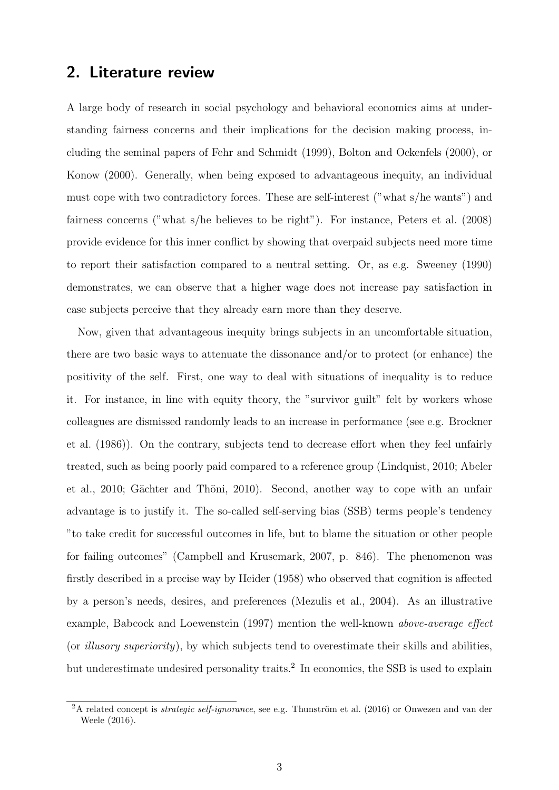#### 2. Literature review

A large body of research in social psychology and behavioral economics aims at understanding fairness concerns and their implications for the decision making process, including the seminal papers of Fehr and Schmidt (1999), Bolton and Ockenfels (2000), or Konow (2000). Generally, when being exposed to advantageous inequity, an individual must cope with two contradictory forces. These are self-interest ("what s/he wants") and fairness concerns ("what s/he believes to be right"). For instance, Peters et al. (2008) provide evidence for this inner conflict by showing that overpaid subjects need more time to report their satisfaction compared to a neutral setting. Or, as e.g. Sweeney (1990) demonstrates, we can observe that a higher wage does not increase pay satisfaction in case subjects perceive that they already earn more than they deserve.

Now, given that advantageous inequity brings subjects in an uncomfortable situation, there are two basic ways to attenuate the dissonance and/or to protect (or enhance) the positivity of the self. First, one way to deal with situations of inequality is to reduce it. For instance, in line with equity theory, the "survivor guilt" felt by workers whose colleagues are dismissed randomly leads to an increase in performance (see e.g. Brockner et al. (1986)). On the contrary, subjects tend to decrease effort when they feel unfairly treated, such as being poorly paid compared to a reference group (Lindquist, 2010; Abeler et al., 2010; Gächter and Thöni, 2010). Second, another way to cope with an unfair advantage is to justify it. The so-called self-serving bias (SSB) terms people's tendency "to take credit for successful outcomes in life, but to blame the situation or other people for failing outcomes" (Campbell and Krusemark, 2007, p. 846). The phenomenon was firstly described in a precise way by Heider (1958) who observed that cognition is affected by a person's needs, desires, and preferences (Mezulis et al., 2004). As an illustrative example, Babcock and Loewenstein (1997) mention the well-known above-average effect (or illusory superiority), by which subjects tend to overestimate their skills and abilities, but underestimate undesired personality traits.<sup>2</sup> In economics, the SSB is used to explain

<sup>&</sup>lt;sup>2</sup>A related concept is *strategic self-ignorance*, see e.g. Thunström et al. (2016) or Onwezen and van der Weele (2016).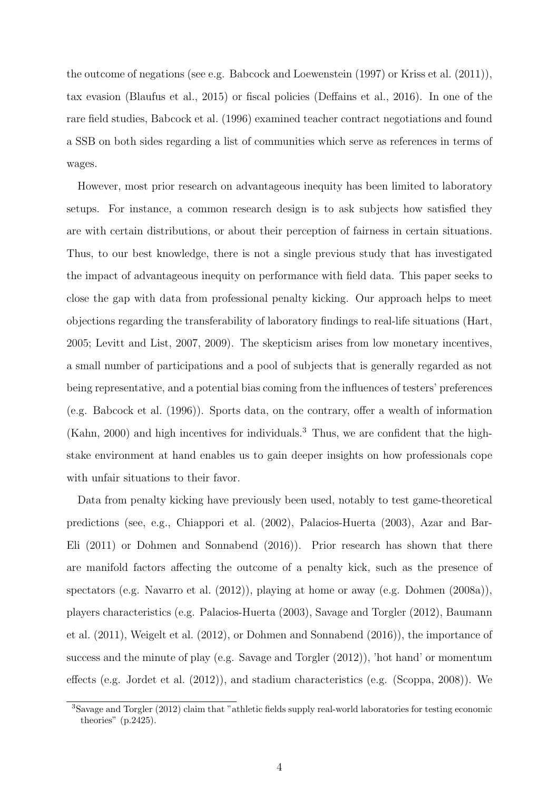the outcome of negations (see e.g. Babcock and Loewenstein (1997) or Kriss et al. (2011)), tax evasion (Blaufus et al., 2015) or fiscal policies (Deffains et al., 2016). In one of the rare field studies, Babcock et al. (1996) examined teacher contract negotiations and found a SSB on both sides regarding a list of communities which serve as references in terms of wages.

However, most prior research on advantageous inequity has been limited to laboratory setups. For instance, a common research design is to ask subjects how satisfied they are with certain distributions, or about their perception of fairness in certain situations. Thus, to our best knowledge, there is not a single previous study that has investigated the impact of advantageous inequity on performance with field data. This paper seeks to close the gap with data from professional penalty kicking. Our approach helps to meet objections regarding the transferability of laboratory findings to real-life situations (Hart, 2005; Levitt and List, 2007, 2009). The skepticism arises from low monetary incentives, a small number of participations and a pool of subjects that is generally regarded as not being representative, and a potential bias coming from the influences of testers' preferences (e.g. Babcock et al. (1996)). Sports data, on the contrary, offer a wealth of information (Kahn, 2000) and high incentives for individuals.<sup>3</sup> Thus, we are confident that the highstake environment at hand enables us to gain deeper insights on how professionals cope with unfair situations to their favor.

Data from penalty kicking have previously been used, notably to test game-theoretical predictions (see, e.g., Chiappori et al. (2002), Palacios-Huerta (2003), Azar and Bar-Eli (2011) or Dohmen and Sonnabend (2016)). Prior research has shown that there are manifold factors affecting the outcome of a penalty kick, such as the presence of spectators (e.g. Navarro et al. (2012)), playing at home or away (e.g. Dohmen (2008a)), players characteristics (e.g. Palacios-Huerta (2003), Savage and Torgler (2012), Baumann et al. (2011), Weigelt et al. (2012), or Dohmen and Sonnabend (2016)), the importance of success and the minute of play (e.g. Savage and Torgler (2012)), 'hot hand' or momentum effects (e.g. Jordet et al. (2012)), and stadium characteristics (e.g. (Scoppa, 2008)). We

<sup>3</sup>Savage and Torgler (2012) claim that "athletic fields supply real-world laboratories for testing economic theories" (p.2425).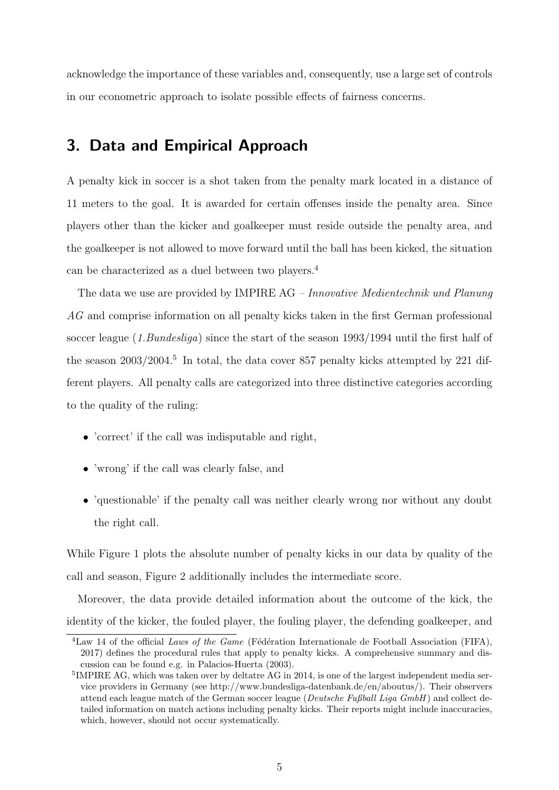acknowledge the importance of these variables and, consequently, use a large set of controls in our econometric approach to isolate possible effects of fairness concerns.

## 3. Data and Empirical Approach

A penalty kick in soccer is a shot taken from the penalty mark located in a distance of 11 meters to the goal. It is awarded for certain offenses inside the penalty area. Since players other than the kicker and goalkeeper must reside outside the penalty area, and the goalkeeper is not allowed to move forward until the ball has been kicked, the situation can be characterized as a duel between two players.<sup>4</sup>

The data we use are provided by IMPIRE AG – Innovative Medientechnik und Planung AG and comprise information on all penalty kicks taken in the first German professional soccer league (1.Bundesliga) since the start of the season 1993/1994 until the first half of the season  $2003/2004$ <sup>5</sup> In total, the data cover 857 penalty kicks attempted by 221 different players. All penalty calls are categorized into three distinctive categories according to the quality of the ruling:

- 'correct' if the call was indisputable and right,
- 'wrong' if the call was clearly false, and
- 'questionable' if the penalty call was neither clearly wrong nor without any doubt the right call.

While Figure 1 plots the absolute number of penalty kicks in our data by quality of the call and season, Figure 2 additionally includes the intermediate score.

Moreover, the data provide detailed information about the outcome of the kick, the identity of the kicker, the fouled player, the fouling player, the defending goalkeeper, and

<sup>&</sup>lt;sup>4</sup>Law 14 of the official Laws of the Game (Fédération Internationale de Football Association (FIFA), 2017) defines the procedural rules that apply to penalty kicks. A comprehensive summary and discussion can be found e.g. in Palacios-Huerta (2003).

<sup>&</sup>lt;sup>5</sup>IMPIRE AG, which was taken over by deltatre AG in 2014, is one of the largest independent media service providers in Germany (see http://www.bundesliga-datenbank.de/en/aboutus/). Their observers attend each league match of the German soccer league (Deutsche Fußball Liga  $GmbH$ ) and collect detailed information on match actions including penalty kicks. Their reports might include inaccuracies, which, however, should not occur systematically.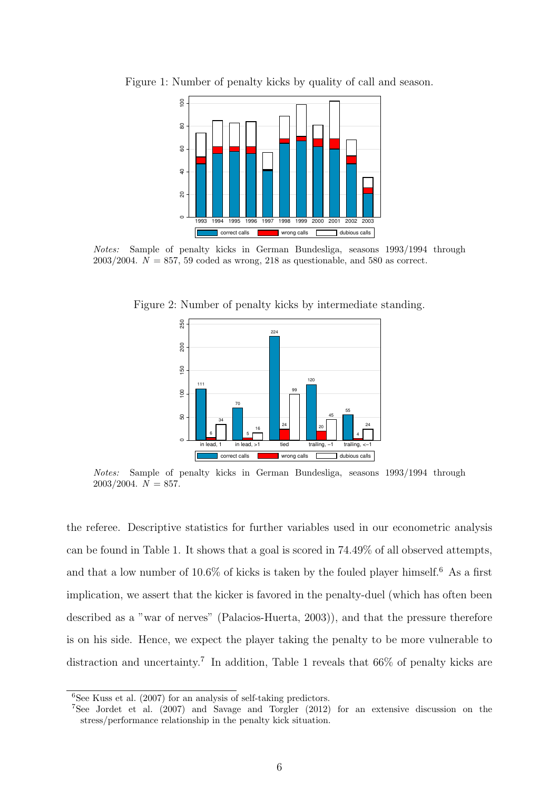

Figure 1: Number of penalty kicks by quality of call and season.

Notes: Sample of penalty kicks in German Bundesliga, seasons 1993/1994 through  $2003/2004$ .  $N = 857$ , 59 coded as wrong, 218 as questionable, and 580 as correct.

Figure 2: Number of penalty kicks by intermediate standing.



Notes: Sample of penalty kicks in German Bundesliga, seasons 1993/1994 through  $2003/2004. N = 857.$ 

the referee. Descriptive statistics for further variables used in our econometric analysis can be found in Table 1. It shows that a goal is scored in 74.49% of all observed attempts, and that a low number of 10.6% of kicks is taken by the fouled player himself.<sup>6</sup> As a first implication, we assert that the kicker is favored in the penalty-duel (which has often been described as a "war of nerves" (Palacios-Huerta, 2003)), and that the pressure therefore is on his side. Hence, we expect the player taking the penalty to be more vulnerable to distraction and uncertainty.<sup>7</sup> In addition, Table 1 reveals that  $66\%$  of penalty kicks are

 ${}^{6}$ See Kuss et al. (2007) for an analysis of self-taking predictors.

<sup>7</sup>See Jordet et al. (2007) and Savage and Torgler (2012) for an extensive discussion on the stress/performance relationship in the penalty kick situation.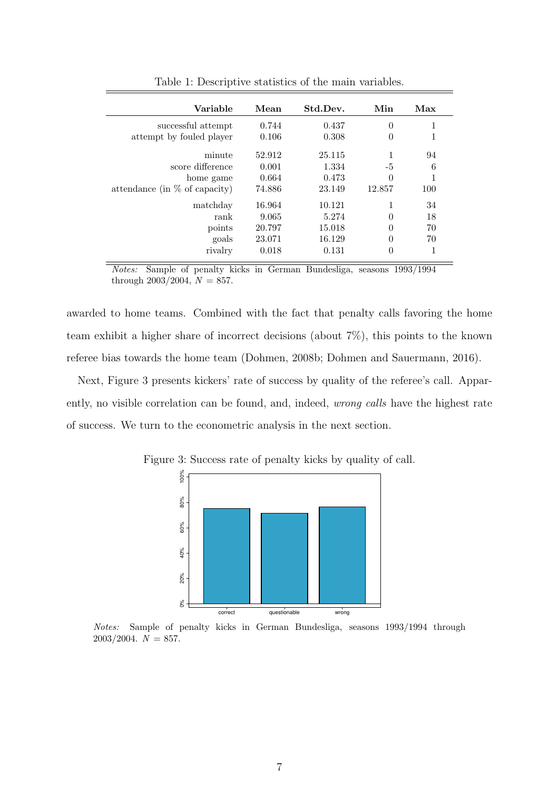| Variable                         | Mean   | Std.Dev. | Min      | Max |
|----------------------------------|--------|----------|----------|-----|
| successful attempt               | 0.744  | 0.437    | $\theta$ | 1   |
| attempt by fouled player         | 0.106  | 0.308    | $\theta$ | 1   |
| minute                           | 52.912 | 25.115   |          | 94  |
| score difference                 | 0.001  | 1.334    | -5       | 6   |
| home game                        | 0.664  | 0.473    | $\theta$ |     |
| attendance (in $\%$ of capacity) | 74.886 | 23.149   | 12.857   | 100 |
| matchday                         | 16.964 | 10.121   |          | 34  |
| rank                             | 9.065  | 5.274    | $\theta$ | 18  |
| points                           | 20.797 | 15.018   | $\theta$ | 70  |
| goals                            | 23.071 | 16.129   | $\theta$ | 70  |
| rivalry                          | 0.018  | 0.131    | $\theta$ |     |

Table 1: Descriptive statistics of the main variables.

Notes: Sample of penalty kicks in German Bundesliga, seasons 1993/1994 through  $2003/2004$ ,  $N = 857$ .

awarded to home teams. Combined with the fact that penalty calls favoring the home team exhibit a higher share of incorrect decisions (about 7%), this points to the known referee bias towards the home team (Dohmen, 2008b; Dohmen and Sauermann, 2016).

Next, Figure 3 presents kickers' rate of success by quality of the referee's call. Apparently, no visible correlation can be found, and, indeed, wrong calls have the highest rate of success. We turn to the econometric analysis in the next section.



Figure 3: Success rate of penalty kicks by quality of call.

Notes: Sample of penalty kicks in German Bundesliga, seasons 1993/1994 through  $2003/2004. N = 857.$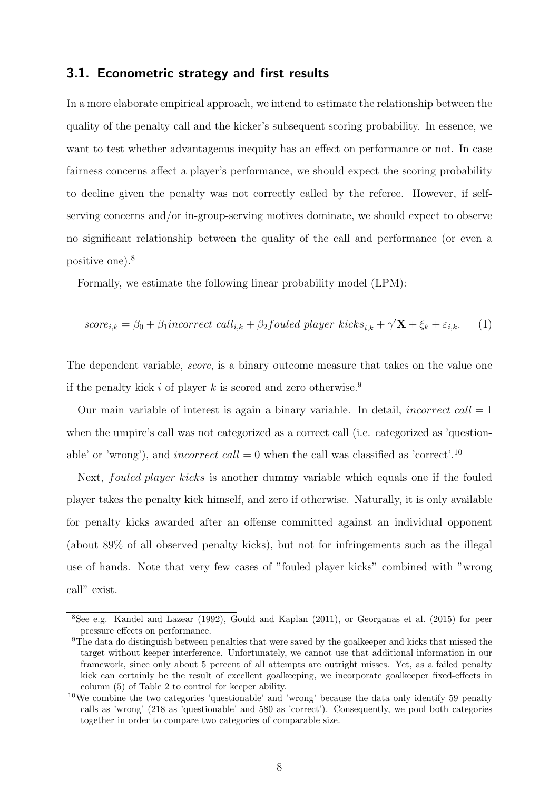#### 3.1. Econometric strategy and first results

In a more elaborate empirical approach, we intend to estimate the relationship between the quality of the penalty call and the kicker's subsequent scoring probability. In essence, we want to test whether advantageous inequity has an effect on performance or not. In case fairness concerns affect a player's performance, we should expect the scoring probability to decline given the penalty was not correctly called by the referee. However, if selfserving concerns and/or in-group-serving motives dominate, we should expect to observe no significant relationship between the quality of the call and performance (or even a positive one).<sup>8</sup>

Formally, we estimate the following linear probability model (LPM):

$$
score_{i,k} = \beta_0 + \beta_1 \text{incorrect call}_{i,k} + \beta_2 \text{fouled player kicks}_{i,k} + \gamma' \mathbf{X} + \xi_k + \varepsilon_{i,k}. \tag{1}
$$

The dependent variable, *score*, is a binary outcome measure that takes on the value one if the penalty kick i of player k is scored and zero otherwise.<sup>9</sup>

Our main variable of interest is again a binary variable. In detail, *incorrect call*  $= 1$ when the umpire's call was not categorized as a correct call (i.e. categorized as 'questionable' or 'wrong'), and *incorrect call* = 0 when the call was classified as 'correct'.<sup>10</sup>

Next, fouled player kicks is another dummy variable which equals one if the fouled player takes the penalty kick himself, and zero if otherwise. Naturally, it is only available for penalty kicks awarded after an offense committed against an individual opponent (about 89% of all observed penalty kicks), but not for infringements such as the illegal use of hands. Note that very few cases of "fouled player kicks" combined with "wrong call" exist.

<sup>8</sup>See e.g. Kandel and Lazear (1992), Gould and Kaplan (2011), or Georganas et al. (2015) for peer pressure effects on performance.

<sup>&</sup>lt;sup>9</sup>The data do distinguish between penalties that were saved by the goalkeeper and kicks that missed the target without keeper interference. Unfortunately, we cannot use that additional information in our framework, since only about 5 percent of all attempts are outright misses. Yet, as a failed penalty kick can certainly be the result of excellent goalkeeping, we incorporate goalkeeper fixed-effects in column (5) of Table 2 to control for keeper ability.

<sup>&</sup>lt;sup>10</sup>We combine the two categories 'questionable' and 'wrong' because the data only identify 59 penalty calls as 'wrong' (218 as 'questionable' and 580 as 'correct'). Consequently, we pool both categories together in order to compare two categories of comparable size.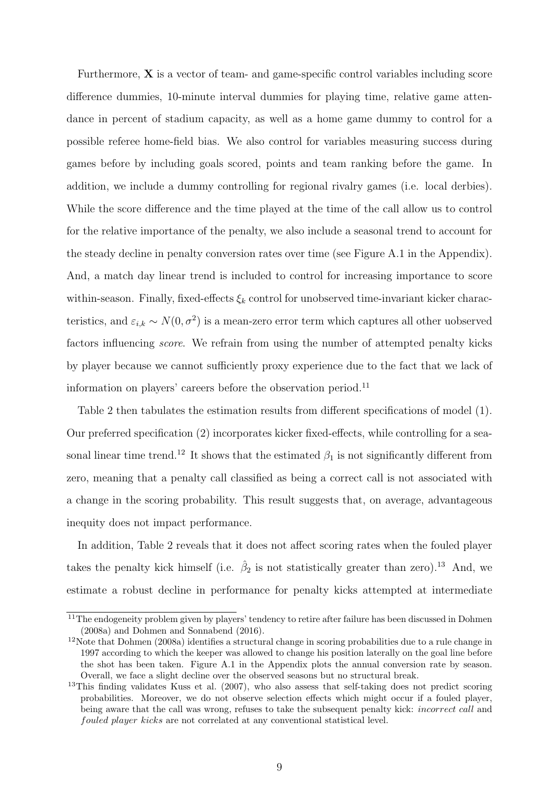Furthermore,  $\bf{X}$  is a vector of team- and game-specific control variables including score difference dummies, 10-minute interval dummies for playing time, relative game attendance in percent of stadium capacity, as well as a home game dummy to control for a possible referee home-field bias. We also control for variables measuring success during games before by including goals scored, points and team ranking before the game. In addition, we include a dummy controlling for regional rivalry games (i.e. local derbies). While the score difference and the time played at the time of the call allow us to control for the relative importance of the penalty, we also include a seasonal trend to account for the steady decline in penalty conversion rates over time (see Figure A.1 in the Appendix). And, a match day linear trend is included to control for increasing importance to score within-season. Finally, fixed-effects  $\xi_k$  control for unobserved time-invariant kicker characteristics, and  $\varepsilon_{i,k} \sim N(0, \sigma^2)$  is a mean-zero error term which captures all other uobserved factors influencing score. We refrain from using the number of attempted penalty kicks by player because we cannot sufficiently proxy experience due to the fact that we lack of information on players' careers before the observation period.<sup>11</sup>

Table 2 then tabulates the estimation results from different specifications of model (1). Our preferred specification (2) incorporates kicker fixed-effects, while controlling for a seasonal linear time trend.<sup>12</sup> It shows that the estimated  $\beta_1$  is not significantly different from zero, meaning that a penalty call classified as being a correct call is not associated with a change in the scoring probability. This result suggests that, on average, advantageous inequity does not impact performance.

In addition, Table 2 reveals that it does not affect scoring rates when the fouled player takes the penalty kick himself (i.e.  $\hat{\beta}_2$  is not statistically greater than zero).<sup>13</sup> And, we estimate a robust decline in performance for penalty kicks attempted at intermediate

<sup>&</sup>lt;sup>11</sup>The endogeneity problem given by players' tendency to retire after failure has been discussed in Dohmen (2008a) and Dohmen and Sonnabend (2016).

<sup>&</sup>lt;sup>12</sup>Note that Dohmen (2008a) identifies a structural change in scoring probabilities due to a rule change in 1997 according to which the keeper was allowed to change his position laterally on the goal line before the shot has been taken. Figure A.1 in the Appendix plots the annual conversion rate by season. Overall, we face a slight decline over the observed seasons but no structural break.

<sup>&</sup>lt;sup>13</sup>This finding validates Kuss et al. (2007), who also assess that self-taking does not predict scoring probabilities. Moreover, we do not observe selection effects which might occur if a fouled player, being aware that the call was wrong, refuses to take the subsequent penalty kick: *incorrect call* and fouled player kicks are not correlated at any conventional statistical level.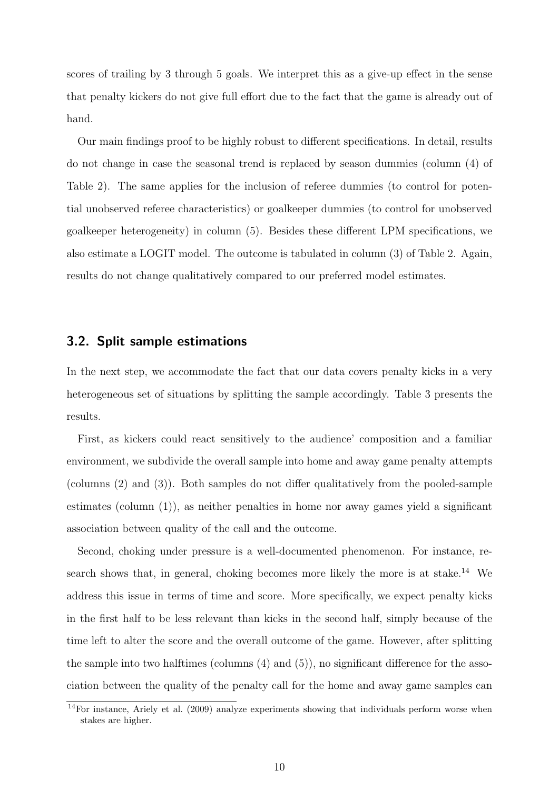scores of trailing by 3 through 5 goals. We interpret this as a give-up effect in the sense that penalty kickers do not give full effort due to the fact that the game is already out of hand.

Our main findings proof to be highly robust to different specifications. In detail, results do not change in case the seasonal trend is replaced by season dummies (column (4) of Table 2). The same applies for the inclusion of referee dummies (to control for potential unobserved referee characteristics) or goalkeeper dummies (to control for unobserved goalkeeper heterogeneity) in column (5). Besides these different LPM specifications, we also estimate a LOGIT model. The outcome is tabulated in column (3) of Table 2. Again, results do not change qualitatively compared to our preferred model estimates.

#### 3.2. Split sample estimations

In the next step, we accommodate the fact that our data covers penalty kicks in a very heterogeneous set of situations by splitting the sample accordingly. Table 3 presents the results.

First, as kickers could react sensitively to the audience' composition and a familiar environment, we subdivide the overall sample into home and away game penalty attempts (columns (2) and (3)). Both samples do not differ qualitatively from the pooled-sample estimates (column (1)), as neither penalties in home nor away games yield a significant association between quality of the call and the outcome.

Second, choking under pressure is a well-documented phenomenon. For instance, research shows that, in general, choking becomes more likely the more is at stake.<sup>14</sup> We address this issue in terms of time and score. More specifically, we expect penalty kicks in the first half to be less relevant than kicks in the second half, simply because of the time left to alter the score and the overall outcome of the game. However, after splitting the sample into two halftimes (columns (4) and (5)), no significant difference for the association between the quality of the penalty call for the home and away game samples can

<sup>14</sup>For instance, Ariely et al. (2009) analyze experiments showing that individuals perform worse when stakes are higher.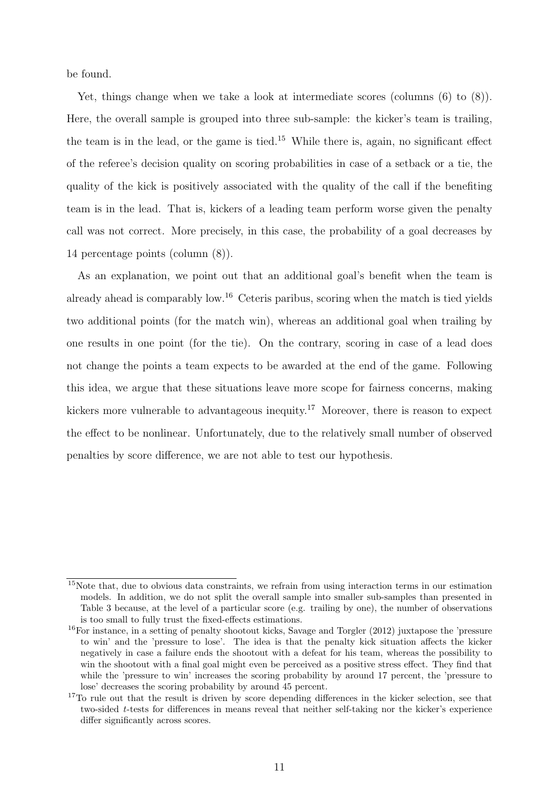be found.

Yet, things change when we take a look at intermediate scores (columns  $(6)$  to  $(8)$ ). Here, the overall sample is grouped into three sub-sample: the kicker's team is trailing, the team is in the lead, or the game is tied.<sup>15</sup> While there is, again, no significant effect of the referee's decision quality on scoring probabilities in case of a setback or a tie, the quality of the kick is positively associated with the quality of the call if the benefiting team is in the lead. That is, kickers of a leading team perform worse given the penalty call was not correct. More precisely, in this case, the probability of a goal decreases by 14 percentage points (column (8)).

As an explanation, we point out that an additional goal's benefit when the team is already ahead is comparably low.<sup>16</sup> Ceteris paribus, scoring when the match is tied yields two additional points (for the match win), whereas an additional goal when trailing by one results in one point (for the tie). On the contrary, scoring in case of a lead does not change the points a team expects to be awarded at the end of the game. Following this idea, we argue that these situations leave more scope for fairness concerns, making kickers more vulnerable to advantageous inequity.<sup>17</sup> Moreover, there is reason to expect the effect to be nonlinear. Unfortunately, due to the relatively small number of observed penalties by score difference, we are not able to test our hypothesis.

<sup>15</sup>Note that, due to obvious data constraints, we refrain from using interaction terms in our estimation models. In addition, we do not split the overall sample into smaller sub-samples than presented in Table 3 because, at the level of a particular score (e.g. trailing by one), the number of observations is too small to fully trust the fixed-effects estimations.

<sup>16</sup>For instance, in a setting of penalty shootout kicks, Savage and Torgler (2012) juxtapose the 'pressure to win' and the 'pressure to lose'. The idea is that the penalty kick situation affects the kicker negatively in case a failure ends the shootout with a defeat for his team, whereas the possibility to win the shootout with a final goal might even be perceived as a positive stress effect. They find that while the 'pressure to win' increases the scoring probability by around 17 percent, the 'pressure to lose' decreases the scoring probability by around 45 percent.

<sup>&</sup>lt;sup>17</sup>To rule out that the result is driven by score depending differences in the kicker selection, see that two-sided t-tests for differences in means reveal that neither self-taking nor the kicker's experience differ significantly across scores.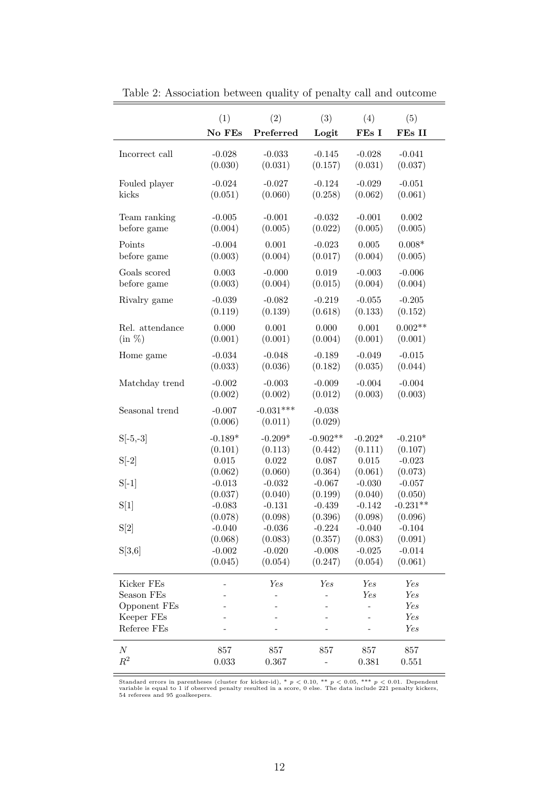|                 | (1)                 | (2)                    | (3)                 | (4)       | (5)        |
|-----------------|---------------------|------------------------|---------------------|-----------|------------|
|                 | No FEs              | Preferred              | Logit               | FEs I     | FEs II     |
| Incorrect call  | $-0.028$            | $-0.033$               | $-0.145$            | $-0.028$  | $-0.041$   |
|                 | (0.030)             | (0.031)                | (0.157)             | (0.031)   | (0.037)    |
| Fouled player   | $-0.024$            | $-0.027$               | $-0.124$            | $-0.029$  | $-0.051$   |
| kicks           | (0.051)             | (0.060)                | (0.258)             | (0.062)   | (0.061)    |
| Team ranking    | $-0.005$            | $-0.001$               | $-0.032$            | $-0.001$  | 0.002      |
| before game     | (0.004)             | (0.005)                | (0.022)             | (0.005)   | (0.005)    |
| Points          | $-0.004$            | 0.001                  | $-0.023$            | 0.005     | $0.008*$   |
| before game     | (0.003)             | (0.004)                | (0.017)             | (0.004)   | (0.005)    |
| Goals scored    | 0.003               | $-0.000$               | 0.019               | $-0.003$  | $-0.006$   |
| before game     | (0.003)             | (0.004)                | (0.015)             | (0.004)   | (0.004)    |
| Rivalry game    | $-0.039$            | $-0.082$               | $-0.219$            | $-0.055$  | $-0.205$   |
|                 | (0.119)             | (0.139)                | (0.618)             | (0.133)   | (0.152)    |
| Rel. attendance | 0.000               | 0.001                  | 0.000               | 0.001     | $0.002**$  |
| $(in \%)$       | (0.001)             | (0.001)                | (0.004)             | (0.001)   | (0.001)    |
| Home game       | $-0.034$            | $-0.048$               | $-0.189$            | $-0.049$  | $-0.015$   |
|                 | (0.033)             | (0.036)                | (0.182)             | (0.035)   | (0.044)    |
| Matchday trend  | $-0.002$            | $-0.003$               | $-0.009$            | $-0.004$  | $-0.004$   |
|                 | (0.002)             | (0.002)                | (0.012)             | (0.003)   | (0.003)    |
| Seasonal trend  | $-0.007$<br>(0.006) | $-0.031***$<br>(0.011) | $-0.038$<br>(0.029) |           |            |
| $S[-5,-3]$      | $-0.189*$           | $-0.209*$              | $-0.902**$          | $-0.202*$ | $-0.210*$  |
| $S[-2]$         | (0.101)             | (0.113)                | (0.442)             | (0.111)   | (0.107)    |
|                 | 0.015               | 0.022                  | 0.087               | 0.015     | $-0.023$   |
|                 | (0.062)             | (0.060)                | (0.364)             | (0.061)   | (0.073)    |
| $S[-1]$         | $-0.013$            | $-0.032$               | $-0.067$            | $-0.030$  | $-0.057$   |
|                 | (0.037)             | (0.040)                | (0.199)             | (0.040)   | (0.050)    |
| S[1]            | $-0.083$            | $-0.131$               | $-0.439$            | $-0.142$  | $-0.231**$ |
|                 | (0.078)             | (0.098)                | (0.396)             | (0.098)   | (0.096)    |
| $\mathrm{S}[2]$ | $-0.040$            | $-0.036$               | $-0.224$            | $-0.040$  | $-0.104$   |
| S[3,6]          | (0.068)             | (0.083)                | (0.357)             | (0.083)   | (0.091)    |
|                 | $-0.002$            | $-0.020$               | $-0.008$            | $-0.025$  | $-0.014$   |
|                 | (0.045)             | (0.054)                | (0.247)             | (0.054)   | (0.061)    |
| Kicker FEs      |                     | Yes                    | Yes                 | Yes       | Yes        |
| Season FEs      |                     |                        |                     | Yes       | Yes        |
| Opponent FEs    |                     |                        |                     |           | Yes        |
| Keeper FEs      |                     |                        |                     |           | Yes        |
| Referee FEs     |                     |                        |                     |           | Yes        |
| $\cal N$        | 857                 | 857                    | 857                 | 857       | 857        |
| $R^2$           | 0.033               | 0.367                  |                     | 0.381     | 0.551      |

Table 2: Association between quality of penalty call and outcome

Standard errors in parentheses (cluster for kicker-id), \*  $p < 0.10$ , \*\*  $p < 0.05$ , \*\*\*  $p < 0.01$ . Dependent variable is equal to 1 if observed penalty resulted in a score, 0 else. The data include 221 penalty kickers, 54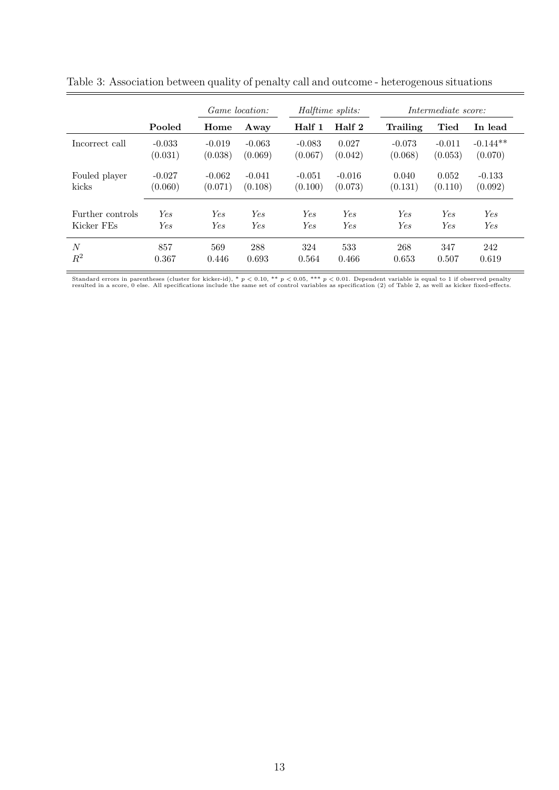|                  | <i>Game location:</i> |            | Halftime splits: |          | Intermediate score: |          |             |            |
|------------------|-----------------------|------------|------------------|----------|---------------------|----------|-------------|------------|
|                  | Pooled                | Home       | Away             | Half 1   | Half 2              | Trailing | <b>Tied</b> | In lead    |
| Incorrect call   | $-0.033$              | $-0.019$   | $-0.063$         | $-0.083$ | 0.027               | $-0.073$ | $-0.011$    | $-0.144**$ |
|                  | (0.031)               | (0.038)    | (0.069)          | (0.067)  | (0.042)             | (0.068)  | (0.053)     | (0.070)    |
| Fouled player    | $-0.027$              | $-0.062$   | $-0.041$         | $-0.051$ | $-0.016$            | 0.040    | 0.052       | $-0.133$   |
| kicks            | (0.060)               | (0.071)    | (0.108)          | (0.100)  | (0.073)             | (0.131)  | (0.110)     | (0.092)    |
| Further controls | Yes                   | <b>Yes</b> | Yes.             | Yes.     | Yes                 | Yes.     | Yes.        | Yes.       |
| Kicker FEs       | Yes                   | <b>Yes</b> | Yes              | Yes.     | Yes                 | Yes      | Yes.        | Yes        |
| $\boldsymbol{N}$ | 857                   | 569        | 288              | 324      | 533                 | 268      | 347         | 242        |
| $\mathbb{R}^2$   | 0.367                 | 0.446      | 0.693            | 0.564    | 0.466               | 0.653    | 0.507       | 0.619      |

Table 3: Association between quality of penalty call and outcome - heterogenous situations

Standard errors in parentheses (cluster for kicker-id), \*  $p < 0.10$ , \*\*  $p < 0.05$ , \*\*\*  $p < 0.01$ . Dependent variable is equal to 1 if observed penalty<br>resulted in a score, 0 else. All specifications include the same set o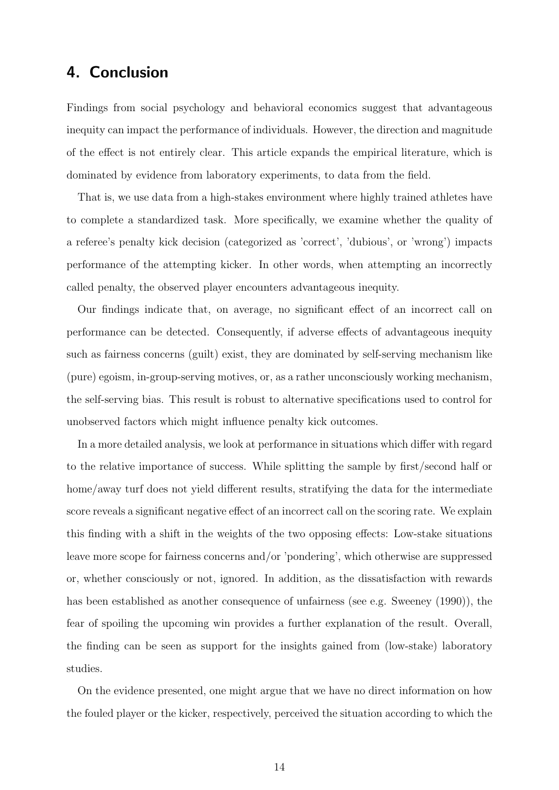### 4. Conclusion

Findings from social psychology and behavioral economics suggest that advantageous inequity can impact the performance of individuals. However, the direction and magnitude of the effect is not entirely clear. This article expands the empirical literature, which is dominated by evidence from laboratory experiments, to data from the field.

That is, we use data from a high-stakes environment where highly trained athletes have to complete a standardized task. More specifically, we examine whether the quality of a referee's penalty kick decision (categorized as 'correct', 'dubious', or 'wrong') impacts performance of the attempting kicker. In other words, when attempting an incorrectly called penalty, the observed player encounters advantageous inequity.

Our findings indicate that, on average, no significant effect of an incorrect call on performance can be detected. Consequently, if adverse effects of advantageous inequity such as fairness concerns (guilt) exist, they are dominated by self-serving mechanism like (pure) egoism, in-group-serving motives, or, as a rather unconsciously working mechanism, the self-serving bias. This result is robust to alternative specifications used to control for unobserved factors which might influence penalty kick outcomes.

In a more detailed analysis, we look at performance in situations which differ with regard to the relative importance of success. While splitting the sample by first/second half or home/away turf does not yield different results, stratifying the data for the intermediate score reveals a significant negative effect of an incorrect call on the scoring rate. We explain this finding with a shift in the weights of the two opposing effects: Low-stake situations leave more scope for fairness concerns and/or 'pondering', which otherwise are suppressed or, whether consciously or not, ignored. In addition, as the dissatisfaction with rewards has been established as another consequence of unfairness (see e.g. Sweeney (1990)), the fear of spoiling the upcoming win provides a further explanation of the result. Overall, the finding can be seen as support for the insights gained from (low-stake) laboratory studies.

On the evidence presented, one might argue that we have no direct information on how the fouled player or the kicker, respectively, perceived the situation according to which the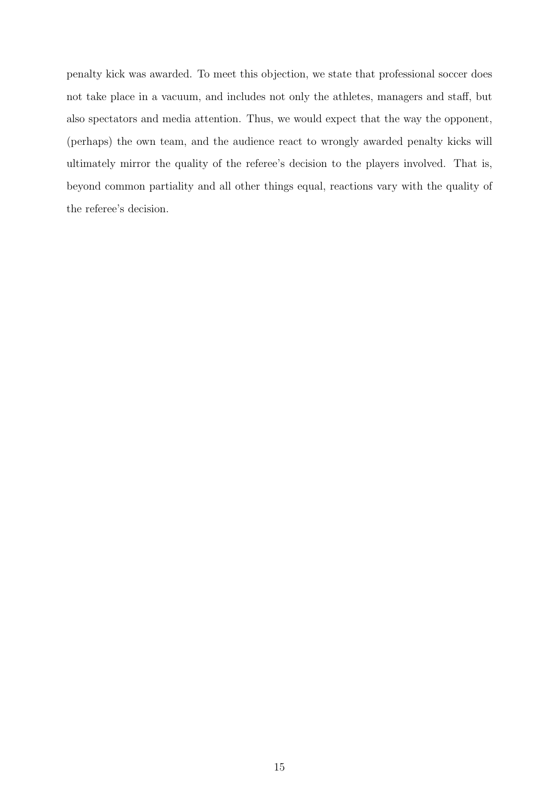penalty kick was awarded. To meet this objection, we state that professional soccer does not take place in a vacuum, and includes not only the athletes, managers and staff, but also spectators and media attention. Thus, we would expect that the way the opponent, (perhaps) the own team, and the audience react to wrongly awarded penalty kicks will ultimately mirror the quality of the referee's decision to the players involved. That is, beyond common partiality and all other things equal, reactions vary with the quality of the referee's decision.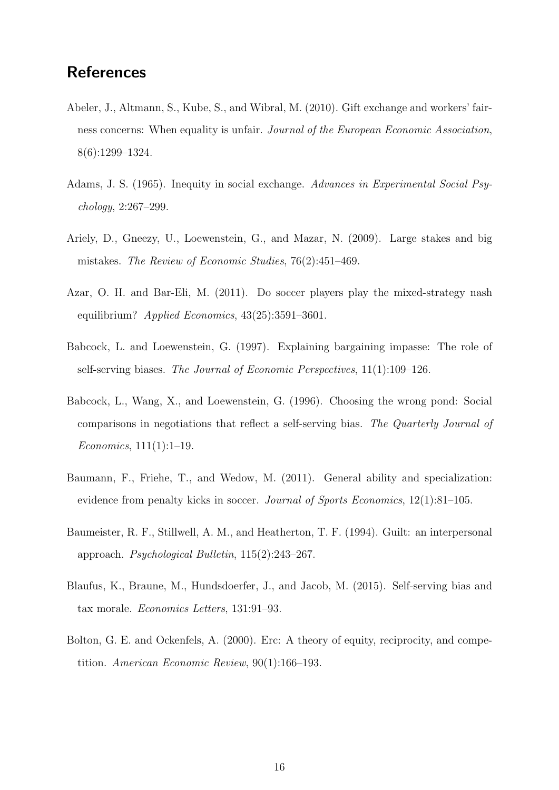## **References**

- Abeler, J., Altmann, S., Kube, S., and Wibral, M. (2010). Gift exchange and workers' fairness concerns: When equality is unfair. Journal of the European Economic Association, 8(6):1299–1324.
- Adams, J. S. (1965). Inequity in social exchange. Advances in Experimental Social Psychology, 2:267–299.
- Ariely, D., Gneezy, U., Loewenstein, G., and Mazar, N. (2009). Large stakes and big mistakes. The Review of Economic Studies, 76(2):451–469.
- Azar, O. H. and Bar-Eli, M. (2011). Do soccer players play the mixed-strategy nash equilibrium? Applied Economics, 43(25):3591–3601.
- Babcock, L. and Loewenstein, G. (1997). Explaining bargaining impasse: The role of self-serving biases. The Journal of Economic Perspectives, 11(1):109–126.
- Babcock, L., Wang, X., and Loewenstein, G. (1996). Choosing the wrong pond: Social comparisons in negotiations that reflect a self-serving bias. The Quarterly Journal of Economics, 111(1):1–19.
- Baumann, F., Friehe, T., and Wedow, M. (2011). General ability and specialization: evidence from penalty kicks in soccer. Journal of Sports Economics, 12(1):81–105.
- Baumeister, R. F., Stillwell, A. M., and Heatherton, T. F. (1994). Guilt: an interpersonal approach. Psychological Bulletin, 115(2):243–267.
- Blaufus, K., Braune, M., Hundsdoerfer, J., and Jacob, M. (2015). Self-serving bias and tax morale. Economics Letters, 131:91–93.
- Bolton, G. E. and Ockenfels, A. (2000). Erc: A theory of equity, reciprocity, and competition. American Economic Review, 90(1):166–193.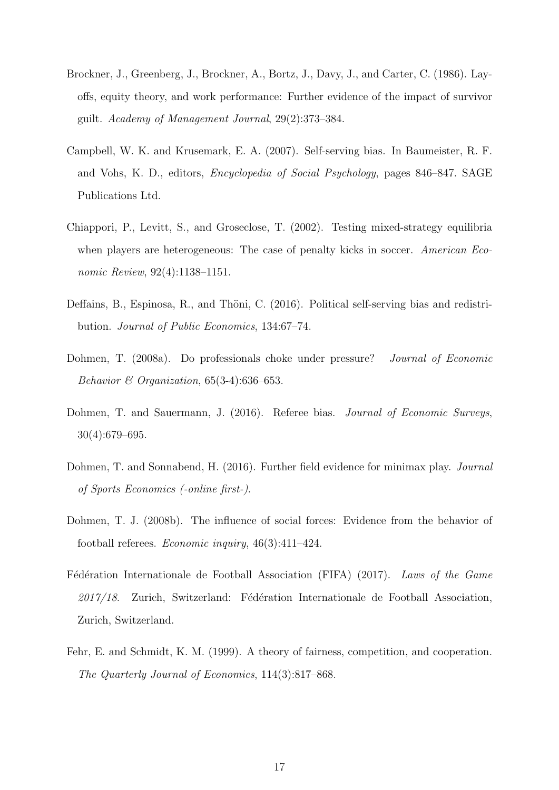- Brockner, J., Greenberg, J., Brockner, A., Bortz, J., Davy, J., and Carter, C. (1986). Layoffs, equity theory, and work performance: Further evidence of the impact of survivor guilt. Academy of Management Journal, 29(2):373–384.
- Campbell, W. K. and Krusemark, E. A. (2007). Self-serving bias. In Baumeister, R. F. and Vohs, K. D., editors, Encyclopedia of Social Psychology, pages 846–847. SAGE Publications Ltd.
- Chiappori, P., Levitt, S., and Groseclose, T. (2002). Testing mixed-strategy equilibria when players are heterogeneous: The case of penalty kicks in soccer. American Economic Review, 92(4):1138–1151.
- Deffains, B., Espinosa, R., and Thöni, C. (2016). Political self-serving bias and redistribution. Journal of Public Economics, 134:67–74.
- Dohmen, T. (2008a). Do professionals choke under pressure? Journal of Economic Behavior & Organization,  $65(3-4):636-653$ .
- Dohmen, T. and Sauermann, J. (2016). Referee bias. *Journal of Economic Surveys*, 30(4):679–695.
- Dohmen, T. and Sonnabend, H. (2016). Further field evidence for minimax play. Journal of Sports Economics (-online first-).
- Dohmen, T. J. (2008b). The influence of social forces: Evidence from the behavior of football referees. *Economic inquiry*,  $46(3):411-424$ .
- Fédération Internationale de Football Association (FIFA) (2017). Laws of the Game  $2017/18$ . Zurich, Switzerland: Fédération Internationale de Football Association, Zurich, Switzerland.
- Fehr, E. and Schmidt, K. M. (1999). A theory of fairness, competition, and cooperation. The Quarterly Journal of Economics, 114(3):817–868.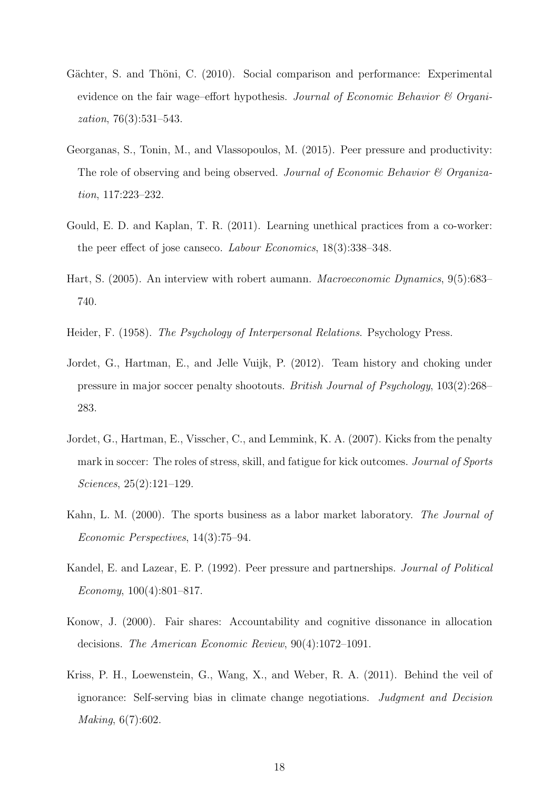- Gächter, S. and Thöni, C. (2010). Social comparison and performance: Experimental evidence on the fair wage–effort hypothesis. Journal of Economic Behavior & Organization, 76(3):531–543.
- Georganas, S., Tonin, M., and Vlassopoulos, M. (2015). Peer pressure and productivity: The role of observing and being observed. Journal of Economic Behavior & Organization, 117:223–232.
- Gould, E. D. and Kaplan, T. R. (2011). Learning unethical practices from a co-worker: the peer effect of jose canseco. Labour Economics, 18(3):338–348.
- Hart, S. (2005). An interview with robert aumann. Macroeconomic Dynamics, 9(5):683– 740.
- Heider, F. (1958). The Psychology of Interpersonal Relations. Psychology Press.
- Jordet, G., Hartman, E., and Jelle Vuijk, P. (2012). Team history and choking under pressure in major soccer penalty shootouts. British Journal of Psychology, 103(2):268– 283.
- Jordet, G., Hartman, E., Visscher, C., and Lemmink, K. A. (2007). Kicks from the penalty mark in soccer: The roles of stress, skill, and fatigue for kick outcomes. Journal of Sports Sciences, 25(2):121–129.
- Kahn, L. M. (2000). The sports business as a labor market laboratory. The Journal of Economic Perspectives, 14(3):75–94.
- Kandel, E. and Lazear, E. P. (1992). Peer pressure and partnerships. Journal of Political Economy, 100(4):801–817.
- Konow, J. (2000). Fair shares: Accountability and cognitive dissonance in allocation decisions. The American Economic Review, 90(4):1072–1091.
- Kriss, P. H., Loewenstein, G., Wang, X., and Weber, R. A. (2011). Behind the veil of ignorance: Self-serving bias in climate change negotiations. Judgment and Decision Making, 6(7):602.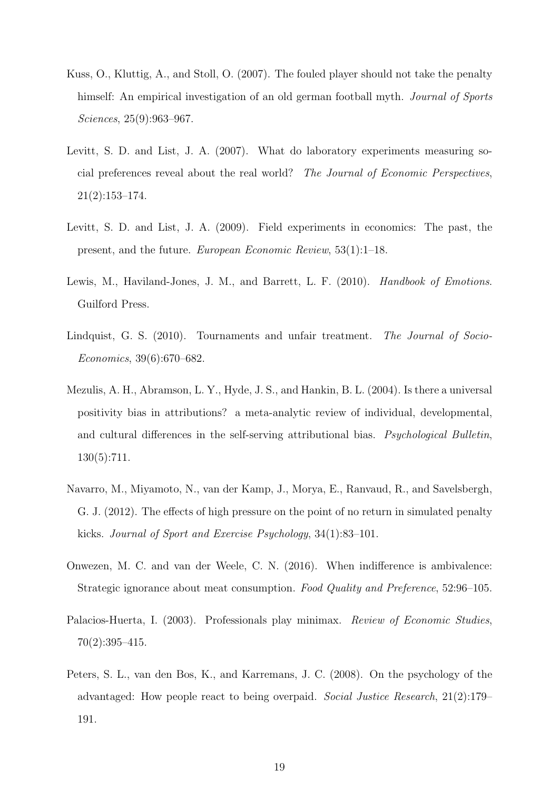- Kuss, O., Kluttig, A., and Stoll, O. (2007). The fouled player should not take the penalty himself: An empirical investigation of an old german football myth. *Journal of Sports* Sciences, 25(9):963–967.
- Levitt, S. D. and List, J. A. (2007). What do laboratory experiments measuring social preferences reveal about the real world? The Journal of Economic Perspectives, 21(2):153–174.
- Levitt, S. D. and List, J. A. (2009). Field experiments in economics: The past, the present, and the future. European Economic Review, 53(1):1–18.
- Lewis, M., Haviland-Jones, J. M., and Barrett, L. F. (2010). *Handbook of Emotions*. Guilford Press.
- Lindquist, G. S. (2010). Tournaments and unfair treatment. The Journal of Socio-Economics, 39(6):670–682.
- Mezulis, A. H., Abramson, L. Y., Hyde, J. S., and Hankin, B. L. (2004). Is there a universal positivity bias in attributions? a meta-analytic review of individual, developmental, and cultural differences in the self-serving attributional bias. Psychological Bulletin, 130(5):711.
- Navarro, M., Miyamoto, N., van der Kamp, J., Morya, E., Ranvaud, R., and Savelsbergh, G. J. (2012). The effects of high pressure on the point of no return in simulated penalty kicks. Journal of Sport and Exercise Psychology, 34(1):83–101.
- Onwezen, M. C. and van der Weele, C. N. (2016). When indifference is ambivalence: Strategic ignorance about meat consumption. Food Quality and Preference, 52:96–105.
- Palacios-Huerta, I. (2003). Professionals play minimax. Review of Economic Studies, 70(2):395–415.
- Peters, S. L., van den Bos, K., and Karremans, J. C. (2008). On the psychology of the advantaged: How people react to being overpaid. Social Justice Research, 21(2):179– 191.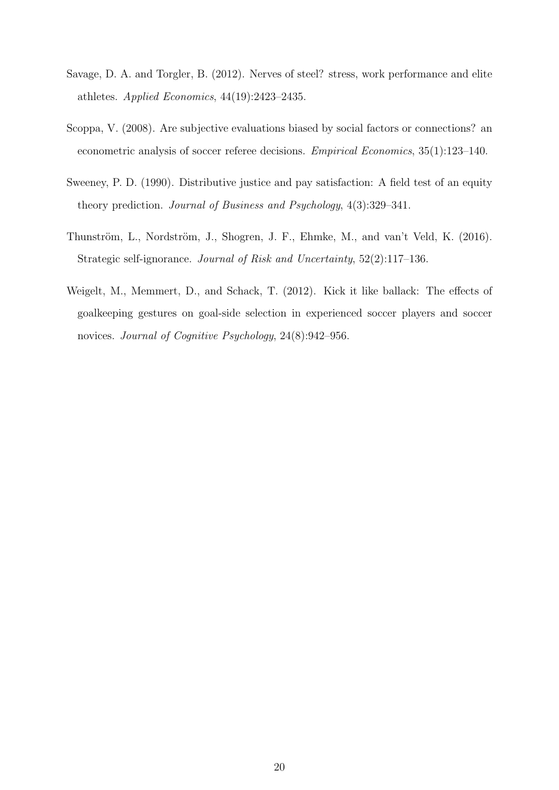- Savage, D. A. and Torgler, B. (2012). Nerves of steel? stress, work performance and elite athletes. Applied Economics, 44(19):2423–2435.
- Scoppa, V. (2008). Are subjective evaluations biased by social factors or connections? an econometric analysis of soccer referee decisions. Empirical Economics, 35(1):123–140.
- Sweeney, P. D. (1990). Distributive justice and pay satisfaction: A field test of an equity theory prediction. Journal of Business and Psychology, 4(3):329–341.
- Thunström, L., Nordström, J., Shogren, J. F., Ehmke, M., and van't Veld, K. (2016). Strategic self-ignorance. Journal of Risk and Uncertainty, 52(2):117–136.
- Weigelt, M., Memmert, D., and Schack, T. (2012). Kick it like ballack: The effects of goalkeeping gestures on goal-side selection in experienced soccer players and soccer novices. Journal of Cognitive Psychology, 24(8):942–956.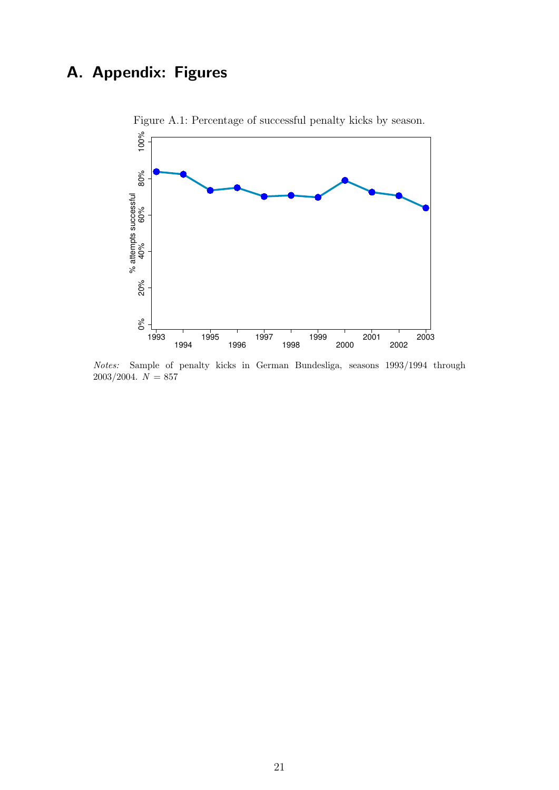## A. Appendix: Figures



Figure A.1: Percentage of successful penalty kicks by season.

Notes: Sample of penalty kicks in German Bundesliga, seasons 1993/1994 through  $2003/2004. N = 857$